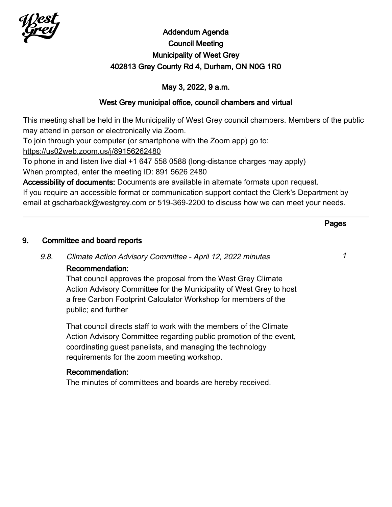

# Addendum Agenda Council Meeting Municipality of West Grey 402813 Grey County Rd 4, Durham, ON N0G 1R0

## May 3, 2022, 9 a.m.

## West Grey municipal office, council chambers and virtual

This meeting shall be held in the Municipality of West Grey council chambers. Members of the public may attend in person or electronically via Zoom.

To join through your computer (or smartphone with the Zoom app) go to:

<https://us02web.zoom.us/j/89156262480>

To phone in and listen live dial +1 647 558 0588 (long-distance charges may apply) When prompted, enter the meeting ID: 891 5626 2480

Accessibility of documents: Documents are available in alternate formats upon request.

If you require an accessible format or communication support contact the Clerk's Department by email at gscharback@westgrey.com or 519-369-2200 to discuss how we can meet your needs.

# Pages 9. Committee and board reports 9.8. Climate Action Advisory Committee - April 12, 2022 minutes <sup>1</sup> Recommendation: That council approves the proposal from the West Grey Climate Action Advisory Committee for the Municipality of West Grey to host a free Carbon Footprint Calculator Workshop for members of the public; and further That council directs staff to work with the members of the Climate Action Advisory Committee regarding public promotion of the event, coordinating guest panelists, and managing the technology requirements for the zoom meeting workshop. Recommendation: The minutes of committees and boards are hereby received.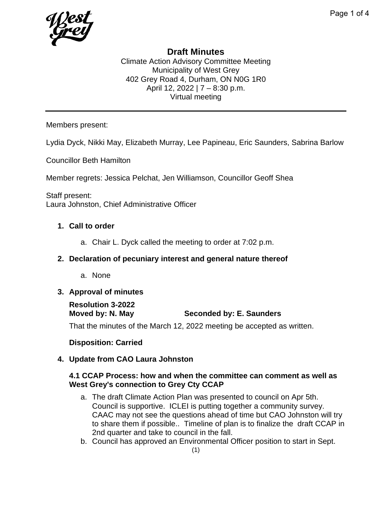# **Draft Minutes**

Climate Action Advisory Committee Meeting Municipality of West Grey 402 Grey Road 4, Durham, ON N0G 1R0 April 12, 2022 | 7 – 8:30 p.m. Virtual meeting

Members present:

Lydia Dyck, Nikki May, Elizabeth Murray, Lee Papineau, Eric Saunders, Sabrina Barlow

Councillor Beth Hamilton

Member regrets: Jessica Pelchat, Jen Williamson, Councillor Geoff Shea

Staff present: Laura Johnston, Chief Administrative Officer

## **1. Call to order**

a. Chair L. Dyck called the meeting to order at 7:02 p.m.

## **2. Declaration of pecuniary interest and general nature thereof**

a. None

## **3. Approval of minutes**

# **Resolution 3-2022**

**Seconded by: E. Saunders** 

That the minutes of the March 12, 2022 meeting be accepted as written.

## **Disposition: Carried**

## **4. Update from CAO Laura Johnston**

#### **4.1 CCAP Process: how and when the committee can comment as well as West Grey's connection to Grey Cty CCAP**

- a. The draft Climate Action Plan was presented to council on Apr 5th. Council is supportive. ICLEI is putting together a community survey. CAAC may not see the questions ahead of time but CAO Johnston will try to share them if possible.. Timeline of plan is to finalize the draft CCAP in 2nd quarter and take to council in the fall.
- b. Council has approved an Environmental Officer position to start in Sept.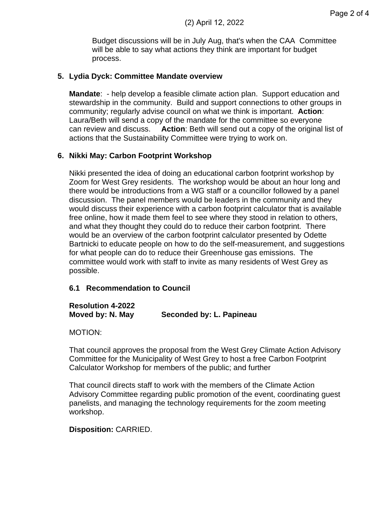Budget discussions will be in July Aug, that's when the CAA Committee will be able to say what actions they think are important for budget process.

#### **5. Lydia Dyck: Committee Mandate overview**

**Mandate**: - help develop a feasible climate action plan. Support education and stewardship in the community. Build and support connections to other groups in community; regularly advise council on what we think is important. **Action**: Laura/Beth will send a copy of the mandate for the committee so everyone can review and discuss. **Action**: Beth will send out a copy of the original list of actions that the Sustainability Committee were trying to work on.

#### **6. Nikki May: Carbon Footprint Workshop**

Nikki presented the idea of doing an educational carbon footprint workshop by Zoom for West Grey residents. The workshop would be about an hour long and there would be introductions from a WG staff or a councillor followed by a panel discussion. The panel members would be leaders in the community and they would discuss their experience with a carbon footprint calculator that is available free online, how it made them feel to see where they stood in relation to others, and what they thought they could do to reduce their carbon footprint. There would be an overview of the carbon footprint calculator presented by Odette Bartnicki to educate people on how to do the self-measurement, and suggestions for what people can do to reduce their Greenhouse gas emissions. The committee would work with staff to invite as many residents of West Grey as possible.

#### **6.1 Recommendation to Council**

#### **Resolution 4-2022 Moved by: N. May Seconded by: L. Papineau**

MOTION:

That council approves the proposal from the West Grey Climate Action Advisory Committee for the Municipality of West Grey to host a free Carbon Footprint Calculator Workshop for members of the public; and further

That council directs staff to work with the members of the Climate Action Advisory Committee regarding public promotion of the event, coordinating guest panelists, and managing the technology requirements for the zoom meeting workshop.

#### **Disposition:** CARRIED.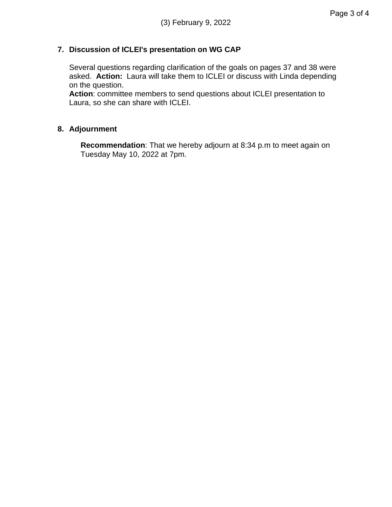## **7. Discussion of ICLEI's presentation on WG CAP**

Several questions regarding clarification of the goals on pages 37 and 38 were asked. **Action:** Laura will take them to ICLEI or discuss with Linda depending on the question.

**Action**: committee members to send questions about ICLEI presentation to Laura, so she can share with ICLEI.

## **8. Adjournment**

**Recommendation**: That we hereby adjourn at 8:34 p.m to meet again on Tuesday May 10, 2022 at 7pm.